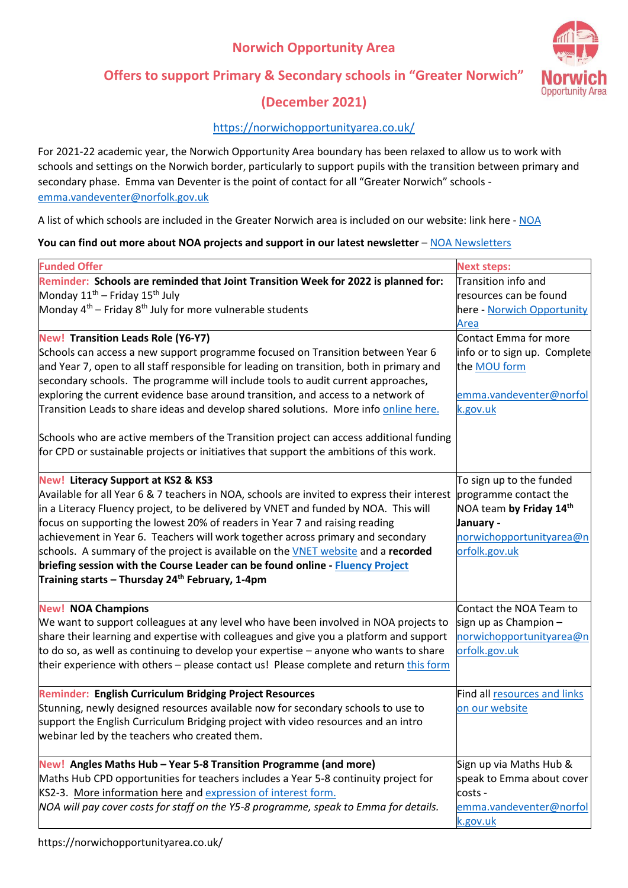## **Norwich Opportunity Area**



### **Offers to support Primary & Secondary schools in "Greater Norwich"**

# **(December 2021)**

#### <https://norwichopportunityarea.co.uk/>

For 2021-22 academic year, the Norwich Opportunity Area boundary has been relaxed to allow us to work with schools and settings on the Norwich border, particularly to support pupils with the transition between primary and secondary phase. Emma van Deventer is the point of contact for all "Greater Norwich" schools [emma.vandeventer@norfolk.gov.uk](mailto:emma.vandeventer@norfolk.gov.uk)

A list of which schools are included in the Greater Norwich area is included on our website: link here - [NOA](https://norwichopportunityarea.co.uk/twinning-greater-norwich/)

#### You can find out more about NOA projects and support in our latest newsletter – [NOA Newsletters](https://norwichopportunityarea.co.uk/newsletter/)

| <b>Funded Offer</b>                                                                         | <b>Next steps:</b>           |
|---------------------------------------------------------------------------------------------|------------------------------|
| Reminder: Schools are reminded that Joint Transition Week for 2022 is planned for:          | Transition info and          |
| Monday 11 <sup>th</sup> - Friday 15 <sup>th</sup> July                                      | resources can be found       |
| Monday $4^{th}$ – Friday $8^{th}$ July for more vulnerable students                         | here - Norwich Opportunity   |
|                                                                                             | Area                         |
| <b>New! Transition Leads Role (Y6-Y7)</b>                                                   | Contact Emma for more        |
| Schools can access a new support programme focused on Transition between Year 6             | info or to sign up. Complete |
| and Year 7, open to all staff responsible for leading on transition, both in primary and    | the MOU form                 |
| secondary schools. The programme will include tools to audit current approaches,            |                              |
| exploring the current evidence base around transition, and access to a network of           | emma.vandeventer@norfol      |
| Transition Leads to share ideas and develop shared solutions. More info online here.        | k.gov.uk                     |
|                                                                                             |                              |
| Schools who are active members of the Transition project can access additional funding      |                              |
| for CPD or sustainable projects or initiatives that support the ambitions of this work.     |                              |
|                                                                                             |                              |
| <b>New! Literacy Support at KS2 &amp; KS3</b>                                               | To sign up to the funded     |
| Available for all Year 6 & 7 teachers in NOA, schools are invited to express their interest | programme contact the        |
| in a Literacy Fluency project, to be delivered by VNET and funded by NOA. This will         | NOA team by Friday 14th      |
| focus on supporting the lowest 20% of readers in Year 7 and raising reading                 | January -                    |
| achievement in Year 6. Teachers will work together across primary and secondary             | norwichopportunityarea@n     |
| schools. A summary of the project is available on the VNET website and a recorded           | orfolk.gov.uk                |
| briefing session with the Course Leader can be found online - Fluency Project               |                              |
| Training starts – Thursday 24 <sup>th</sup> February, 1-4pm                                 |                              |
|                                                                                             |                              |
| <b>New! NOA Champions</b>                                                                   | Contact the NOA Team to      |
| We want to support colleagues at any level who have been involved in NOA projects to        | sign up as Champion -        |
| share their learning and expertise with colleagues and give you a platform and support      | norwichopportunityarea@n     |
| to do so, as well as continuing to develop your expertise – anyone who wants to share       | orfolk.gov.uk                |
| their experience with others - please contact us! Please complete and return this form      |                              |
|                                                                                             |                              |
| <b>Reminder: English Curriculum Bridging Project Resources</b>                              | Find all resources and links |
| Stunning, newly designed resources available now for secondary schools to use to            | on our website               |
| support the English Curriculum Bridging project with video resources and an intro           |                              |
| webinar led by the teachers who created them.                                               |                              |
|                                                                                             |                              |
| New! Angles Maths Hub - Year 5-8 Transition Programme (and more)                            | Sign up via Maths Hub &      |
| Maths Hub CPD opportunities for teachers includes a Year 5-8 continuity project for         | speak to Emma about cover    |
| KS2-3. More information here and expression of interest form.                               | costs -                      |
| NOA will pay cover costs for staff on the Y5-8 programme, speak to Emma for details.        | emma.vandeventer@norfol      |
|                                                                                             | k.gov.uk                     |